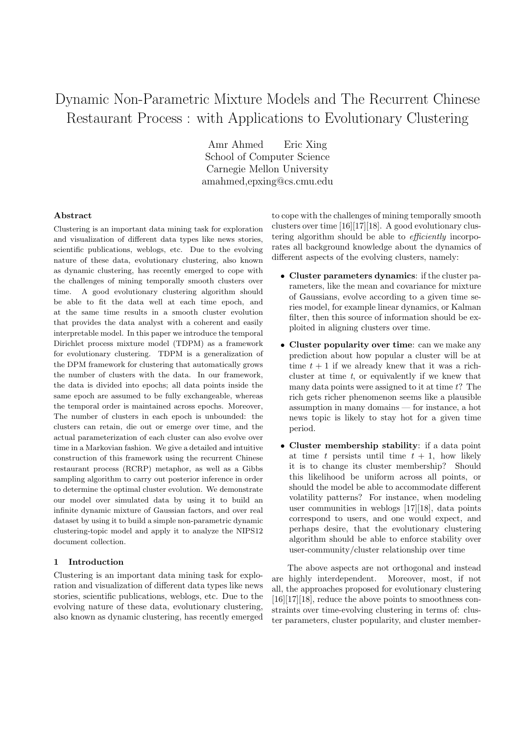# Dynamic Non-Parametric Mixture Models and The Recurrent Chinese Restaurant Process : with Applications to Evolutionary Clustering

Amr Ahmed Eric Xing School of Computer Science Carnegie Mellon University amahmed,epxing@cs.cmu.edu

# Abstract

Clustering is an important data mining task for exploration and visualization of different data types like news stories, scientific publications, weblogs, etc. Due to the evolving nature of these data, evolutionary clustering, also known as dynamic clustering, has recently emerged to cope with the challenges of mining temporally smooth clusters over time. A good evolutionary clustering algorithm should be able to fit the data well at each time epoch, and at the same time results in a smooth cluster evolution that provides the data analyst with a coherent and easily interpretable model. In this paper we introduce the temporal Dirichlet process mixture model (TDPM) as a framework for evolutionary clustering. TDPM is a generalization of the DPM framework for clustering that automatically grows the number of clusters with the data. In our framework, the data is divided into epochs; all data points inside the same epoch are assumed to be fully exchangeable, whereas the temporal order is maintained across epochs. Moreover, The number of clusters in each epoch is unbounded: the clusters can retain, die out or emerge over time, and the actual parameterization of each cluster can also evolve over time in a Markovian fashion. We give a detailed and intuitive construction of this framework using the recurrent Chinese restaurant process (RCRP) metaphor, as well as a Gibbs sampling algorithm to carry out posterior inference in order to determine the optimal cluster evolution. We demonstrate our model over simulated data by using it to build an infinite dynamic mixture of Gaussian factors, and over real dataset by using it to build a simple non-parametric dynamic clustering-topic model and apply it to analyze the NIPS12 document collection.

## 1 Introduction

Clustering is an important data mining task for exploration and visualization of different data types like news stories, scientific publications, weblogs, etc. Due to the evolving nature of these data, evolutionary clustering, also known as dynamic clustering, has recently emerged to cope with the challenges of mining temporally smooth clusters over time [16][17][18]. A good evolutionary clustering algorithm should be able to *efficiently* incorporates all background knowledge about the dynamics of different aspects of the evolving clusters, namely:

- Cluster parameters dynamics: if the cluster parameters, like the mean and covariance for mixture of Gaussians, evolve according to a given time series model, for example linear dynamics, or Kalman filter, then this source of information should be exploited in aligning clusters over time.
- Cluster popularity over time: can we make any prediction about how popular a cluster will be at time  $t + 1$  if we already knew that it was a richcluster at time  $t$ , or equivalently if we knew that many data points were assigned to it at time  $t$ ? The rich gets richer phenomenon seems like a plausible assumption in many domains — for instance, a hot news topic is likely to stay hot for a given time period.
- Cluster membership stability: if a data point at time t persists until time  $t + 1$ , how likely it is to change its cluster membership? Should this likelihood be uniform across all points, or should the model be able to accommodate different volatility patterns? For instance, when modeling user communities in weblogs [17][18], data points correspond to users, and one would expect, and perhaps desire, that the evolutionary clustering algorithm should be able to enforce stability over user-community/cluster relationship over time

The above aspects are not orthogonal and instead are highly interdependent. Moreover, most, if not all, the approaches proposed for evolutionary clustering [16][17][18], reduce the above points to smoothness constraints over time-evolving clustering in terms of: cluster parameters, cluster popularity, and cluster member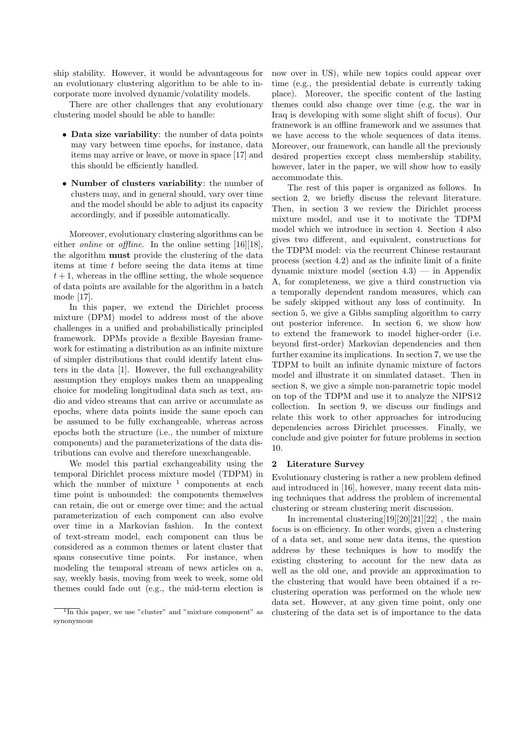ship stability. However, it would be advantageous for an evolutionary clustering algorithm to be able to incorporate more involved dynamic/volatility models.

There are other challenges that any evolutionary clustering model should be able to handle:

- Data size variability: the number of data points may vary between time epochs, for instance, data items may arrive or leave, or move in space [17] and this should be efficiently handled.
- Number of clusters variability: the number of clusters may, and in general should, vary over time and the model should be able to adjust its capacity accordingly, and if possible automatically.

Moreover, evolutionary clustering algorithms can be either *online* or *offline*. In the online setting  $[16][18]$ , the algorithm must provide the clustering of the data items at time t before seeing the data items at time  $t + 1$ , whereas in the offline setting, the whole sequence of data points are available for the algorithm in a batch mode [17].

In this paper, we extend the Dirichlet process mixture (DPM) model to address most of the above challenges in a unified and probabilistically principled framework. DPMs provide a flexible Bayesian framework for estimating a distribution as an infinite mixture of simpler distributions that could identify latent clusters in the data [1]. However, the full exchangeability assumption they employs makes them an unappealing choice for modeling longitudinal data such as text, audio and video streams that can arrive or accumulate as epochs, where data points inside the same epoch can be assumed to be fully exchangeable, whereas across epochs both the structure (i.e., the number of mixture components) and the parameterizations of the data distributions can evolve and therefore unexchangeable.

We model this partial exchangeability using the temporal Dirichlet process mixture model (TDPM) in which the number of mixture  $\frac{1}{1}$  components at each time point is unbounded: the components themselves can retain, die out or emerge over time; and the actual parameterization of each component can also evolve over time in a Markovian fashion. In the context of text-stream model, each component can thus be considered as a common themes or latent cluster that spans consecutive time points. For instance, when modeling the temporal stream of news articles on a, say, weekly basis, moving from week to week, some old themes could fade out (e.g., the mid-term election is now over in US), while new topics could appear over time (e.g., the presidential debate is currently taking place). Moreover, the specific content of the lasting themes could also change over time (e.g, the war in Iraq is developing with some slight shift of focus). Our framework is an offline framework and we assumes that we have access to the whole sequences of data items. Moreover, our framework, can handle all the previously desired properties except class membership stability, however, later in the paper, we will show how to easily accommodate this.

The rest of this paper is organized as follows. In section 2, we briefly discuss the relevant literature. Then, in section 3 we review the Dirichlet process mixture model, and use it to motivate the TDPM model which we introduce in section 4. Section 4 also gives two different, and equivalent, constructions for the TDPM model: via the recurrent Chinese restaurant process (section 4.2) and as the infinite limit of a finite dynamic mixture model (section 4.3) — in Appendix A, for completeness, we give a third construction via a temporally dependent random measures, which can be safely skipped without any loss of continuity. In section 5, we give a Gibbs sampling algorithm to carry out posterior inference. In section 6, we show how to extend the framework to model higher-order (i.e. beyond first-order) Markovian dependencies and then further examine its implications. In section 7, we use the TDPM to built an infinite dynamic mixture of factors model and illustrate it on simulated dataset. Then in section 8, we give a simple non-parametric topic model on top of the TDPM and use it to analyze the NIPS12 collection. In section 9, we discuss our findings and relate this work to other approaches for introducing dependencies across Dirichlet processes. Finally, we conclude and give pointer for future problems in section 10.

## 2 Literature Survey

Evolutionary clustering is rather a new problem defined and introduced in [16], however, many recent data mining techniques that address the problem of incremental clustering or stream clustering merit discussion.

In incremental clustering[19][20][21][22] , the main focus is on efficiency. In other words, given a clustering of a data set, and some new data items, the question address by these techniques is how to modify the existing clustering to account for the new data as well as the old one, and provide an approximation to the clustering that would have been obtained if a reclustering operation was performed on the whole new data set. However, at any given time point, only one clustering of the data set is of importance to the data

<sup>&</sup>lt;sup>1</sup>In this paper, we use "cluster" and "mixture component" as synonymous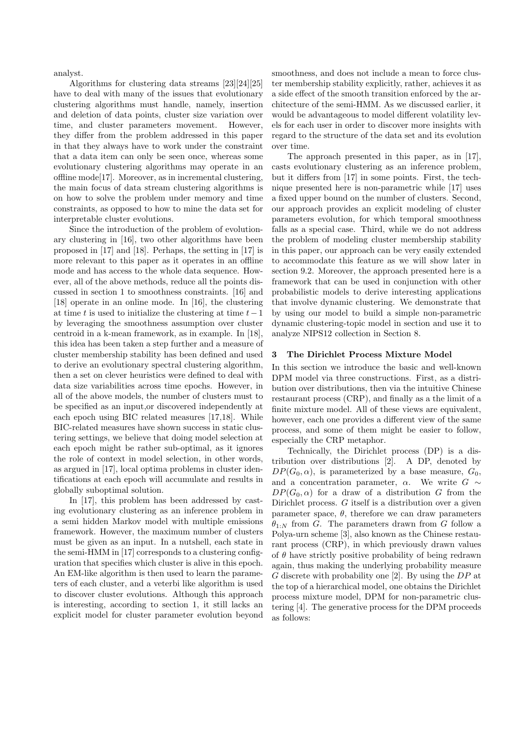analyst.

Algorithms for clustering data streams [23][24][25] have to deal with many of the issues that evolutionary clustering algorithms must handle, namely, insertion and deletion of data points, cluster size variation over time, and cluster parameters movement. However, they differ from the problem addressed in this paper in that they always have to work under the constraint that a data item can only be seen once, whereas some evolutionary clustering algorithms may operate in an offline mode[17]. Moreover, as in incremental clustering, the main focus of data stream clustering algorithms is on how to solve the problem under memory and time constraints, as opposed to how to mine the data set for interpretable cluster evolutions.

Since the introduction of the problem of evolutionary clustering in [16], two other algorithms have been proposed in [17] and [18]. Perhaps, the setting in [17] is more relevant to this paper as it operates in an offline mode and has access to the whole data sequence. However, all of the above methods, reduce all the points discussed in section 1 to smoothness constraints. [16] and [18] operate in an online mode. In [16], the clustering at time t is used to initialize the clustering at time  $t-1$ by leveraging the smoothness assumption over cluster centroid in a k-mean framework, as in example. In [18], this idea has been taken a step further and a measure of cluster membership stability has been defined and used to derive an evolutionary spectral clustering algorithm, then a set on clever heuristics were defined to deal with data size variabilities across time epochs. However, in all of the above models, the number of clusters must to be specified as an input,or discovered independently at each epoch using BIC related measures [17,18]. While BIC-related measures have shown success in static clustering settings, we believe that doing model selection at each epoch might be rather sub-optimal, as it ignores the role of context in model selection, in other words, as argued in [17], local optima problems in cluster identifications at each epoch will accumulate and results in globally suboptimal solution.

In [17], this problem has been addressed by casting evolutionary clustering as an inference problem in a semi hidden Markov model with multiple emissions framework. However, the maximum number of clusters must be given as an input. In a nutshell, each state in the semi-HMM in [17] corresponds to a clustering configuration that specifies which cluster is alive in this epoch. An EM-like algorithm is then used to learn the parameters of each cluster, and a veterbi like algorithm is used to discover cluster evolutions. Although this approach is interesting, according to section 1, it still lacks an explicit model for cluster parameter evolution beyond smoothness, and does not include a mean to force cluster membership stability explicitly, rather, achieves it as a side effect of the smooth transition enforced by the architecture of the semi-HMM. As we discussed earlier, it would be advantageous to model different volatility levels for each user in order to discover more insights with regard to the structure of the data set and its evolution over time.

The approach presented in this paper, as in [17], casts evolutionary clustering as an inference problem, but it differs from [17] in some points. First, the technique presented here is non-parametric while [17] uses a fixed upper bound on the number of clusters. Second, our approach provides an explicit modeling of cluster parameters evolution, for which temporal smoothness falls as a special case. Third, while we do not address the problem of modeling cluster membership stability in this paper, our approach can be very easily extended to accommodate this feature as we will show later in section 9.2. Moreover, the approach presented here is a framework that can be used in conjunction with other probabilistic models to derive interesting applications that involve dynamic clustering. We demonstrate that by using our model to build a simple non-parametric dynamic clustering-topic model in section and use it to analyze NIPS12 collection in Section 8.

## 3 The Dirichlet Process Mixture Model

In this section we introduce the basic and well-known DPM model via three constructions. First, as a distribution over distributions, then via the intuitive Chinese restaurant process (CRP), and finally as a the limit of a finite mixture model. All of these views are equivalent, however, each one provides a different view of the same process, and some of them might be easier to follow, especially the CRP metaphor.

Technically, the Dirichlet process (DP) is a distribution over distributions [2]. A DP, denoted by  $DP(G_0, \alpha)$ , is parameterized by a base measure,  $G_0$ , and a concentration parameter,  $\alpha$ . We write  $G \sim$  $DP(G_0, \alpha)$  for a draw of a distribution G from the Dirichlet process. G itself is a distribution over a given parameter space,  $\theta$ , therefore we can draw parameters  $\theta_{1:N}$  from G. The parameters drawn from G follow a Polya-urn scheme [3], also known as the Chinese restaurant process (CRP), in which previously drawn values of  $\theta$  have strictly positive probability of being redrawn again, thus making the underlying probability measure  $G$  discrete with probability one [2]. By using the  $DP$  at the top of a hierarchical model, one obtains the Dirichlet process mixture model, DPM for non-parametric clustering [4]. The generative process for the DPM proceeds as follows: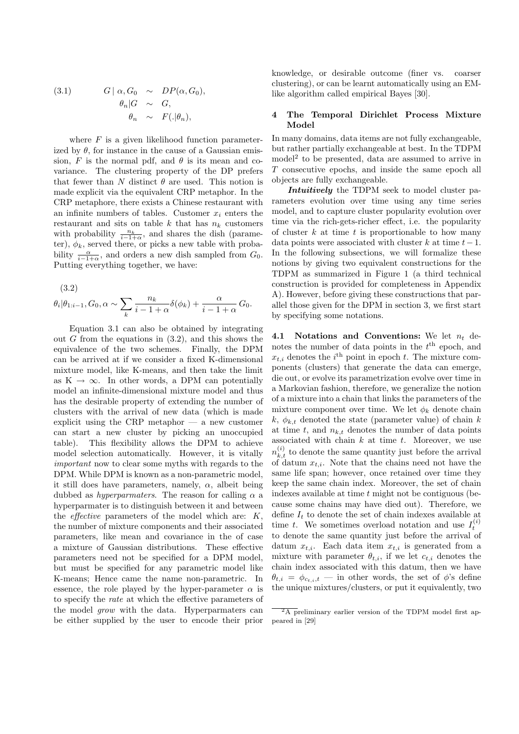(3.1) 
$$
G \mid \alpha, G_0 \sim DP(\alpha, G_0),
$$

$$
\theta_n | G \sim G,
$$

$$
\theta_n \sim F(.|\theta_n),
$$

where  $F$  is a given likelihood function parameterized by  $\theta$ , for instance in the cause of a Gaussian emission, F is the normal pdf, and  $\theta$  is its mean and covariance. The clustering property of the DP prefers that fewer than N distinct  $\theta$  are used. This notion is made explicit via the equivalent CRP metaphor. In the CRP metaphore, there exists a Chinese restaurant with an infinite numbers of tables. Customer  $x_i$  enters the restaurant and sits on table  $k$  that has  $n_k$  customers with probability  $\frac{n_k}{i-1+\alpha}$ , and shares the dish (parameter),  $\phi_k$ , served there, or picks a new table with probability  $\frac{\alpha}{i-1+\alpha}$ , and orders a new dish sampled from  $G_0$ . Putting everything together, we have:

(3.2)

$$
\theta_i | \theta_{1:i-1}, G_0, \alpha \sim \sum_k \frac{n_k}{i-1+\alpha} \delta(\phi_k) + \frac{\alpha}{i-1+\alpha} G_0.
$$

Equation 3.1 can also be obtained by integrating out G from the equations in  $(3.2)$ , and this shows the equivalence of the two schemes. Finally, the DPM can be arrived at if we consider a fixed K-dimensional mixture model, like K-means, and then take the limit as  $K \to \infty$ . In other words, a DPM can potentially model an infinite-dimensional mixture model and thus has the desirable property of extending the number of clusters with the arrival of new data (which is made explicit using the CRP metaphor  $-$  a new customer can start a new cluster by picking an unoccupied table). This flexibility allows the DPM to achieve model selection automatically. However, it is vitally important now to clear some myths with regards to the DPM. While DPM is known as a non-parametric model, it still does have parameters, namely,  $\alpha$ , albeit being dubbed as *hyperparmaters*. The reason for calling  $\alpha$  a hyperparmater is to distinguish between it and between the *effective* parameters of the model which are:  $K$ , the number of mixture components and their associated parameters, like mean and covariance in the of case a mixture of Gaussian distributions. These effective parameters need not be specified for a DPM model, but must be specified for any parametric model like K-means; Hence came the name non-parametric. In essence, the role played by the hyper-parameter  $\alpha$  is to specify the rate at which the effective parameters of the model grow with the data. Hyperparmaters can be either supplied by the user to encode their prior knowledge, or desirable outcome (finer vs. coarser clustering), or can be learnt automatically using an EMlike algorithm called empirical Bayes [30].

## 4 The Temporal Dirichlet Process Mixture Model

In many domains, data items are not fully exchangeable, but rather partially exchangeable at best. In the TDPM model<sup>2</sup> to be presented, data are assumed to arrive in T consecutive epochs, and inside the same epoch all objects are fully exchangeable.

Intuitively the TDPM seek to model cluster parameters evolution over time using any time series model, and to capture cluster popularity evolution over time via the rich-gets-richer effect, i.e. the popularity of cluster  $k$  at time  $t$  is proportionable to how many data points were associated with cluster k at time  $t-1$ . In the following subsections, we will formalize these notions by giving two equivalent constructions for the TDPM as summarized in Figure 1 (a third technical construction is provided for completeness in Appendix A). However, before giving these constructions that parallel those given for the DPM in section 3, we first start by specifying some notations.

4.1 Notations and Conventions: We let  $n_t$  denotes the number of data points in the  $t<sup>th</sup>$  epoch, and  $x_{t,i}$  denotes the  $i^{\text{th}}$  point in epoch t. The mixture components (clusters) that generate the data can emerge, die out, or evolve its parametrization evolve over time in a Markovian fashion, therefore, we generalize the notion of a mixture into a chain that links the parameters of the mixture component over time. We let  $\phi_k$  denote chain  $k, \phi_{k,t}$  denoted the state (parameter value) of chain k at time t, and  $n_{k,t}$  denotes the number of data points associated with chain  $k$  at time  $t$ . Moreover, we use  $n_{k,t}^{(i)}$  to denote the same quantity just before the arrival of datum  $x_{t,i}$ . Note that the chains need not have the same life span; however, once retained over time they keep the same chain index. Moreover, the set of chain indexes available at time  $t$  might not be contiguous (because some chains may have died out). Therefore, we define  $I_t$  to denote the set of chain indexes available at time t. We sometimes overload notation and use  $I_t^{(i)}$ to denote the same quantity just before the arrival of datum  $x_{t,i}$ . Each data item  $x_{t,i}$  is generated from a mixture with parameter  $\theta_{t,i}$ , if we let  $c_{t,i}$  denotes the chain index associated with this datum, then we have  $\theta_{t,i} = \phi_{c_{t,i},t}$  — in other words, the set of  $\phi$ 's define the unique mixtures/clusters, or put it equivalently, two

 $\overline{P_{2A}}$  preliminary earlier version of the TDPM model first appeared in [29]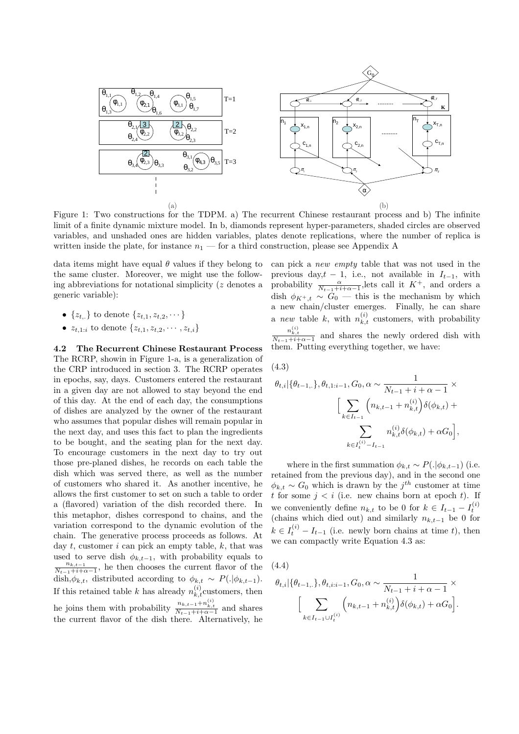

Figure 1: Two constructions for the TDPM. a) The recurrent Chinese restaurant process and b) The infinite limit of a finite dynamic mixture model. In b, diamonds represent hyper-parameters, shaded circles are observed variables, and unshaded ones are hidden variables, plates denote replications, where the number of replica is written inside the plate, for instance  $n_1$  — for a third construction, please see Appendix A

data items might have equal  $\theta$  values if they belong to the same cluster. Moreover, we might use the following abbreviations for notational simplicity  $(z$  denotes a generic variable):

- $\{z_{t,1}, z_{t,2}, \dots\}$
- $z_{t,1:i}$  to denote  $\{z_{t,1}, z_{t,2}, \cdots, z_{t,i}\}$

4.2 The Recurrent Chinese Restaurant Process The RCRP, showin in Figure 1-a, is a generalization of the CRP introduced in section 3. The RCRP operates in epochs, say, days. Customers entered the restaurant in a given day are not allowed to stay beyond the end of this day. At the end of each day, the consumptions of dishes are analyzed by the owner of the restaurant who assumes that popular dishes will remain popular in the next day, and uses this fact to plan the ingredients to be bought, and the seating plan for the next day. To encourage customers in the next day to try out those pre-planed dishes, he records on each table the dish which was served there, as well as the number of customers who shared it. As another incentive, he allows the first customer to set on such a table to order a (flavored) variation of the dish recorded there. In this metaphor, dishes correspond to chains, and the variation correspond to the dynamic evolution of the chain. The generative process proceeds as follows. At day  $t$ , customer  $i$  can pick an empty table,  $k$ , that was used to serve dish  $\phi_{k,t-1}$ , with probability equals to  $n_{k,t-1}$  $\frac{n_{k,t-1}}{N_{t-1}+i+\alpha-1}$ , he then chooses the current flavor of the  $\frac{W_{t-1}+W_{t-1}}{W_{t-1}+W_{t-1}}$ , distributed according to  $\phi_{k,t} \sim P(.|\phi_{k,t-1})$ . If this retained table k has already  $n_{k,t}^{(i)}$  customers, then he joins them with probability  $\frac{n_{k,t-1}+n_{k,t}^{(i)}}{N_{t-1}+i+\alpha-1}$  and shares the current flavor of the dish there. Alternatively, he

can pick a new empty table that was not used in the previous day, $t - 1$ , i.e., not available in  $I_{t-1}$ , with probability  $\frac{\alpha}{N_{t-1}+i+\alpha-1}$ , lets call it  $K^+$ , and orders a dish  $\phi_{K^+,t} \sim G_0$  — this is the mechanism by which a new chain/cluster emerges. Finally, he can share a *new* table k, with  $n_{k,t}^{(i)}$  customers, with probability  $\frac{n_{k,t}^{(i)}}{N_{t-1}+i+\alpha-1}$  and shares the newly ordered dish with them. Putting everything together, we have:

(4.3)  
\n
$$
\theta_{t,i}|\{\theta_{t-1,.\}} , \theta_{t,1:i-1}, G_0, \alpha \sim \frac{1}{N_{t-1} + i + \alpha - 1} \times \left[\sum_{k \in I_{t-1}} \left(n_{k,t-1} + n_{k,t}^{(i)}\right) \delta(\phi_{k,t}) + \sum_{k \in I_t^{(i)} - I_{t-1}} n_{k,t}^{(i)} \delta(\phi_{k,t}) + \alpha G_0\right],
$$

where in the first summation  $\phi_{k,t} \sim P(.|\phi_{k,t-1})$  (i.e. retained from the previous day), and in the second one  $\phi_{k,t} \sim G_0$  which is drawn by the  $j^{th}$  customer at time t for some  $j < i$  (i.e. new chains born at epoch t). If we conveniently define  $n_{k,t}$  to be 0 for  $k \in I_{t-1} - I_t^{(i)}$ (chains which died out) and similarly  $n_{k,t-1}$  be 0 for  $k \in I_t^{(i)} - I_{t-1}$  (i.e. newly born chains at time t), then we can compactly write Equation 4.3 as:

(4.4)

$$
\theta_{t,i}|\{\theta_{t-1,.}\}, \theta_{t,i:i-1}, G_0, \alpha \sim \frac{1}{N_{t-1} + i + \alpha - 1} \times \left[\sum_{k \in I_{t-1} \cup I_t^{(i)}} \left(n_{k,t-1} + n_{k,t}^{(i)}\right) \delta(\phi_{k,t}) + \alpha G_0\right].
$$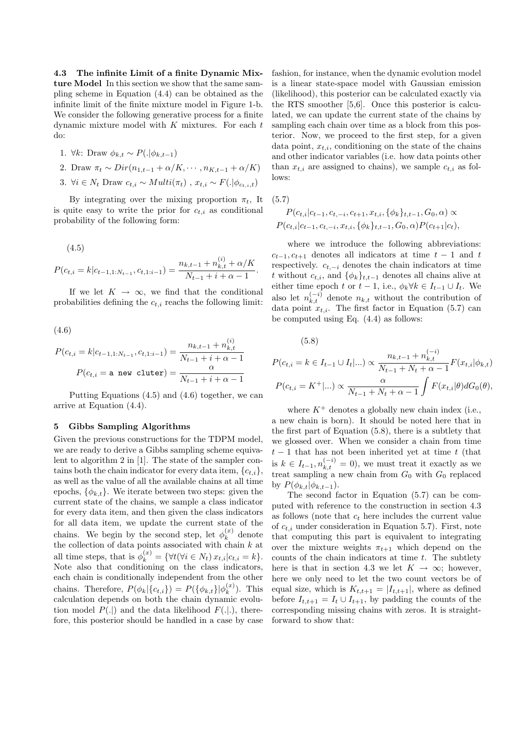4.3 The infinite Limit of a finite Dynamic Mixture Model In this section we show that the same sampling scheme in Equation (4.4) can be obtained as the infinite limit of the finite mixture model in Figure 1-b. We consider the following generative process for a finite dynamic mixture model with  $K$  mixtures. For each  $t$ do:

- 1. ∀k: Draw  $\phi_{k,t} \sim P(.|\phi_{k,t-1})$
- 2. Draw  $\pi_t \sim Dir(n_{1,t-1} + \alpha/K, \cdots, n_{K,t-1} + \alpha/K)$
- 3.  $\forall i \in N_t$  Draw  $c_{t,i} \sim Multi(\pi_t)$ ,  $x_{t,i} \sim F(.|\phi_{c_{t,i},t})$

By integrating over the mixing proportion  $\pi_t$ , It is quite easy to write the prior for  $c_{t,i}$  as conditional probability of the following form:

(4.5)

$$
P(c_{t,i} = k | c_{t-1,1:N_{t-1}}, c_{t,1:i-1}) = \frac{n_{k,t-1} + n_{k,t}^{(i)} + \alpha/K}{N_{t-1} + i + \alpha - 1}.
$$

If we let  $K \to \infty$ , we find that the conditional probabilities defining the  $c_{t,i}$  reachs the following limit:

(4.6)

$$
P(c_{t,i} = k | c_{t-1,1:N_{t-1}}, c_{t,1:i-1}) = \frac{n_{k,t-1} + n_{k,t}^{(i)}}{N_{t-1} + i + \alpha - 1}
$$

$$
P(c_{t,i} = \text{a new clutter}) = \frac{\alpha}{N_{t-1} + i + \alpha - 1}
$$

Putting Equations (4.5) and (4.6) together, we can arrive at Equation (4.4).

## 5 Gibbs Sampling Algorithms

Given the previous constructions for the TDPM model, we are ready to derive a Gibbs sampling scheme equivalent to algorithm 2 in [1]. The state of the sampler contains both the chain indicator for every data item,  ${c_{t,i}}$ , as well as the value of all the available chains at all time epochs,  $\{\phi_{k,t}\}.$  We iterate between two steps: given the current state of the chains, we sample a class indicator for every data item, and then given the class indicators for all data item, we update the current state of the chains. We begin by the second step, let  $\phi_k^{(x)}$  $k^{(x)}$  denote the collection of data points associated with chain  $k$  at all time steps, that is  $\phi_k^{(x)} = \{ \forall t (\forall i \in N_t) x_{t,i} | c_{t,i} = k \}.$ Note also that conditioning on the class indicators, each chain is conditionally independent from the other chains. Therefore,  $P(\phi_k | \{c_{t,i}\}) = P(\{\phi_{k,t}\} | \phi_k^{(x)})$  $\binom{x}{k}$ . This calculation depends on both the chain dynamic evolution model  $P(.)$  and the data likelihood  $F(.)$ , therefore, this posterior should be handled in a case by case fashion, for instance, when the dynamic evolution model is a linear state-space model with Gaussian emission (likelihood), this posterior can be calculated exactly via the RTS smoother [5,6]. Once this posterior is calculated, we can update the current state of the chains by sampling each chain over time as a block from this posterior. Now, we proceed to the first step, for a given data point,  $x_{t,i}$ , conditioning on the state of the chains and other indicator variables (i.e. how data points other than  $x_{t,i}$  are assigned to chains), we sample  $c_{t,i}$  as follows:

(5.7)

$$
P(c_{t,i}|c_{t-1}, c_{t,-i}, c_{t+1}, x_{t,i}, \{\phi_k\}_{t,t-1}, G_0, \alpha) \propto
$$
  
 
$$
P(c_{t,i}|c_{t-1}, c_{t,-i}, x_{t,i}, \{\phi_k\}_{t,t-1}, G_0, \alpha) P(c_{t+1}|c_t),
$$

where we introduce the following abbreviations:  $c_{t-1}, c_{t+1}$  denotes all indicators at time  $t-1$  and  $t$ respectively.  $c_{t,-i}$  denotes the chain indicators at time t without  $c_{t,i}$ , and  $\{\phi_k\}_{t,t-1}$  denotes all chains alive at either time epoch t or  $t - 1$ , i.e.,  $\phi_k \forall k \in I_{t-1} \cup I_t$ . We also let  $n_{k,t}^{(-i)}$  denote  $n_{k,t}$  without the contribution of data point  $x_{t,i}$ . The first factor in Equation (5.7) can be computed using Eq. (4.4) as follows:

(5.8)  $P(c_{t,i} = k \in I_{t-1} \cup I_t | ...) \propto$  $n_{k,t-1} + n_{k,t}^{(-i)}$  $_{k,t}$  $\frac{K_{k,t}}{N_{t-1} + N_t + \alpha - 1} F(x_{t,i} | \phi_{k,t})$  $P(c_{t,i} = K^+|...)\propto \frac{\alpha}{N}$  $N_{t-1} + N_t + \alpha - 1$ Z  $F(x_{t,i}|\theta)dG_0(\theta),$ 

where  $K^+$  denotes a globally new chain index (i.e., a new chain is born). It should be noted here that in the first part of Equation (5.8), there is a subtlety that we glossed over. When we consider a chain from time  $t-1$  that has not been inherited yet at time t (that is  $k \in I_{t-1}, n_{k,t}^{(-i)} = 0$ , we must treat it exactly as we treat sampling a new chain from  $G_0$  with  $G_0$  replaced by  $P(\phi_{k,t}|\phi_{k,t-1}).$ 

The second factor in Equation (5.7) can be computed with reference to the construction in section 4.3 as follows (note that  $c_t$  here includes the current value of  $c_{t,i}$  under consideration in Equation 5.7). First, note that computing this part is equivalent to integrating over the mixture weights  $\pi_{t+1}$  which depend on the counts of the chain indicators at time  $t$ . The subtlety here is that in section 4.3 we let  $K \to \infty$ ; however, here we only need to let the two count vectors be of equal size, which is  $K_{t,t+1} = |I_{t,t+1}|$ , where as defined before  $I_{t,t+1} = I_t \cup I_{t+1}$ , by padding the counts of the corresponding missing chains with zeros. It is straightforward to show that: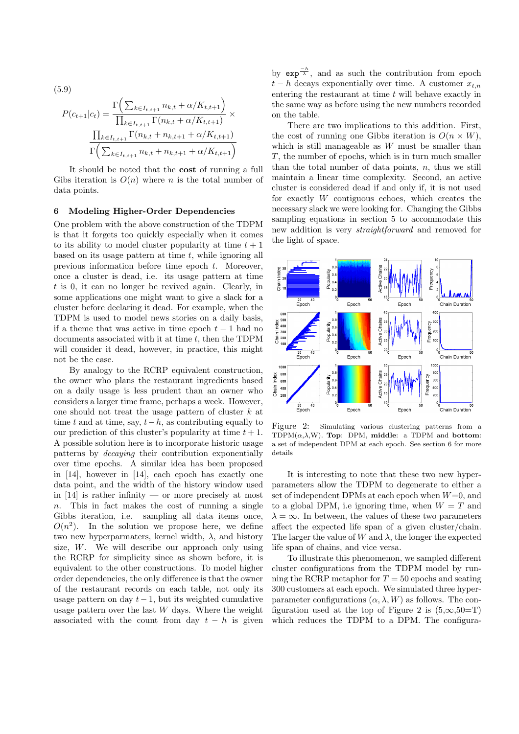(5.9)

$$
P(c_{t+1}|c_t) = \frac{\Gamma\left(\sum_{k \in I_{t,t+1}} n_{k,t} + \alpha/K_{t,t+1}\right)}{\prod_{k \in I_{t,t+1}} \Gamma(n_{k,t} + \alpha/K_{t,t+1})} \times \frac{\prod_{k \in I_{t,t+1}} \Gamma(n_{k,t} + n_{k,t+1} + \alpha/K_{t,t+1})}{\Gamma\left(\sum_{k \in I_{t,t+1}} n_{k,t} + n_{k,t+1} + \alpha/K_{t,t+1}\right)}
$$

It should be noted that the cost of running a full Gibs iteration is  $O(n)$  where n is the total number of data points.

#### 6 Modeling Higher-Order Dependencies

One problem with the above construction of the TDPM is that it forgets too quickly especially when it comes to its ability to model cluster popularity at time  $t + 1$ based on its usage pattern at time  $t$ , while ignoring all previous information before time epoch t. Moreover, once a cluster is dead, i.e. its usage pattern at time t is 0, it can no longer be revived again. Clearly, in some applications one might want to give a slack for a cluster before declaring it dead. For example, when the TDPM is used to model news stories on a daily basis, if a theme that was active in time epoch  $t-1$  had no documents associated with it at time  $t$ , then the TDPM will consider it dead, however, in practice, this might not be the case.

By analogy to the RCRP equivalent construction, the owner who plans the restaurant ingredients based on a daily usage is less prudent than an owner who considers a larger time frame, perhaps a week. However, one should not treat the usage pattern of cluster k at time t and at time, say,  $t-h$ , as contributing equally to our prediction of this cluster's popularity at time  $t + 1$ . A possible solution here is to incorporate historic usage patterns by decaying their contribution exponentially over time epochs. A similar idea has been proposed in [14], however in [14], each epoch has exactly one data point, and the width of the history window used in  $[14]$  is rather infinity — or more precisely at most  $n$ . This in fact makes the cost of running a single Gibbs iteration, i.e. sampling all data items once,  $O(n^2)$ . In the solution we propose here, we define two new hyperparmaters, kernel width,  $\lambda$ , and history size, W. We will describe our approach only using the RCRP for simplicity since as shown before, it is equivalent to the other constructions. To model higher order dependencies, the only difference is that the owner of the restaurant records on each table, not only its usage pattern on day  $t-1$ , but its weighted cumulative usage pattern over the last  $W$  days. Where the weight associated with the count from day  $t - h$  is given

by  $\exp^{-h}$ , and as such the contribution from epoch  $t-h$  decays exponentially over time. A customer  $x_{t,n}$ entering the restaurant at time  $t$  will behave exactly in the same way as before using the new numbers recorded on the table.

There are two implications to this addition. First, the cost of running one Gibbs iteration is  $O(n \times W)$ , which is still manageable as  $W$  must be smaller than T, the number of epochs, which is in turn much smaller than the total number of data points,  $n$ , thus we still maintain a linear time complexity. Second, an active cluster is considered dead if and only if, it is not used for exactly W contiguous echoes, which creates the necessary slack we were looking for. Changing the Gibbs sampling equations in section 5 to accommodate this new addition is very straightforward and removed for the light of space.



Figure 2: Simulating various clustering patterns from a TDPM( $\alpha, \lambda, W$ ). Top: DPM, middle: a TDPM and bottom: a set of independent DPM at each epoch. See section 6 for more details

It is interesting to note that these two new hyperparameters allow the TDPM to degenerate to either a set of independent DPMs at each epoch when  $W=0$ , and to a global DPM, i.e ignoring time, when  $W = T$  and  $\lambda = \infty$ . In between, the values of these two parameters affect the expected life span of a given cluster/chain. The larger the value of W and  $\lambda$ , the longer the expected life span of chains, and vice versa.

To illustrate this phenomenon, we sampled different cluster configurations from the TDPM model by running the RCRP metaphor for  $T = 50$  epochs and seating 300 customers at each epoch. We simulated three hyperparameter configurations  $(\alpha, \lambda, W)$  as follows. The configuration used at the top of Figure 2 is  $(5, \infty, 50 = T)$ which reduces the TDPM to a DPM. The configura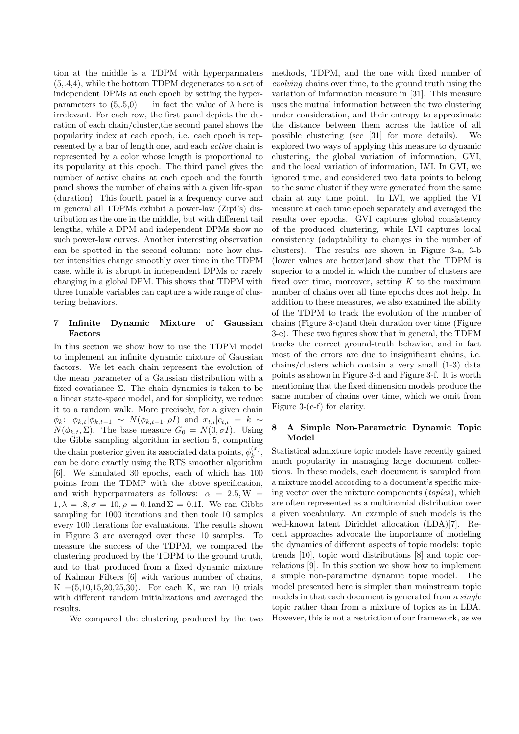tion at the middle is a TDPM with hyperparmaters (5,.4,4), while the bottom TDPM degenerates to a set of independent DPMs at each epoch by setting the hyperparameters to  $(5,5,0)$  — in fact the value of  $\lambda$  here is irrelevant. For each row, the first panel depicts the duration of each chain/cluster,the second panel shows the popularity index at each epoch, i.e. each epoch is represented by a bar of length one, and each active chain is represented by a color whose length is proportional to its popularity at this epoch. The third panel gives the number of active chains at each epoch and the fourth panel shows the number of chains with a given life-span (duration). This fourth panel is a frequency curve and in general all TDPMs exhibit a power-law (Zipf's) distribution as the one in the middle, but with different tail lengths, while a DPM and independent DPMs show no such power-law curves. Another interesting observation can be spotted in the second column: note how cluster intensities change smoothly over time in the TDPM case, while it is abrupt in independent DPMs or rarely changing in a global DPM. This shows that TDPM with three tunable variables can capture a wide range of clustering behaviors.

## 7 Infinite Dynamic Mixture of Gaussian Factors

In this section we show how to use the TDPM model to implement an infinite dynamic mixture of Gaussian factors. We let each chain represent the evolution of the mean parameter of a Gaussian distribution with a fixed covariance  $\Sigma$ . The chain dynamics is taken to be a linear state-space model, and for simplicity, we reduce it to a random walk. More precisely, for a given chain  $\phi_k$ :  $\phi_{k,t}|\phi_{k,t-1} \sim N(\phi_{k,t-1}, \rho I)$  and  $x_{t,i}|c_{t,i} = k \sim$  $N(\phi_{k,t}, \Sigma)$ . The base measure  $G_0 = N(0, \sigma I)$ . Using the Gibbs sampling algorithm in section 5, computing the chain posterior given its associated data points,  $\phi_k^{(x)}$  $\binom{x}{k}$ can be done exactly using the RTS smoother algorithm [6]. We simulated 30 epochs, each of which has 100 points from the TDMP with the above specification, and with hyperparmaters as follows:  $\alpha = 2.5$ , W =  $1, \lambda = .8, \sigma = 10, \rho = 0.1$ and  $\Sigma = 0.1$ I. We ran Gibbs sampling for 1000 iterations and then took 10 samples every 100 iterations for evaluations. The results shown in Figure 3 are averaged over these 10 samples. To measure the success of the TDPM, we compared the clustering produced by the TDPM to the ground truth, and to that produced from a fixed dynamic mixture of Kalman Filters [6] with various number of chains,  $K = (5,10,15,20,25,30)$ . For each K, we ran 10 trials with different random initializations and averaged the results.

We compared the clustering produced by the two

methods, TDPM, and the one with fixed number of evolving chains over time, to the ground truth using the variation of information measure in [31]. This measure uses the mutual information between the two clustering under consideration, and their entropy to approximate the distance between them across the lattice of all possible clustering (see [31] for more details). We explored two ways of applying this measure to dynamic clustering, the global variation of information, GVI, and the local variation of information, LVI. In GVI, we ignored time, and considered two data points to belong to the same cluster if they were generated from the same chain at any time point. In LVI, we applied the VI measure at each time epoch separately and averaged the results over epochs. GVI captures global consistency of the produced clustering, while LVI captures local consistency (adaptability to changes in the number of clusters). The results are shown in Figure 3-a, 3-b (lower values are better)and show that the TDPM is superior to a model in which the number of clusters are fixed over time, moreover, setting  $K$  to the maximum number of chains over all time epochs does not help. In addition to these measures, we also examined the ability of the TDPM to track the evolution of the number of chains (Figure 3-c)and their duration over time (Figure 3-e). These two figures show that in general, the TDPM tracks the correct ground-truth behavior, and in fact most of the errors are due to insignificant chains, i.e. chains/clusters which contain a very small (1-3) data points as shown in Figure 3-d and Figure 3-f. It is worth mentioning that the fixed dimension models produce the same number of chains over time, which we omit from Figure 3-(c-f) for clarity.

# 8 A Simple Non-Parametric Dynamic Topic Model

Statistical admixture topic models have recently gained much popularity in managing large document collections. In these models, each document is sampled from a mixture model according to a document's specific mixing vector over the mixture components (topics), which are often represented as a multinomial distribution over a given vocabulary. An example of such models is the well-known latent Dirichlet allocation (LDA)[7]. Recent approaches advocate the importance of modeling the dynamics of different aspects of topic models: topic trends [10], topic word distributions [8] and topic correlations [9]. In this section we show how to implement a simple non-parametric dynamic topic model. The model presented here is simpler than mainstream topic models in that each document is generated from a single topic rather than from a mixture of topics as in LDA. However, this is not a restriction of our framework, as we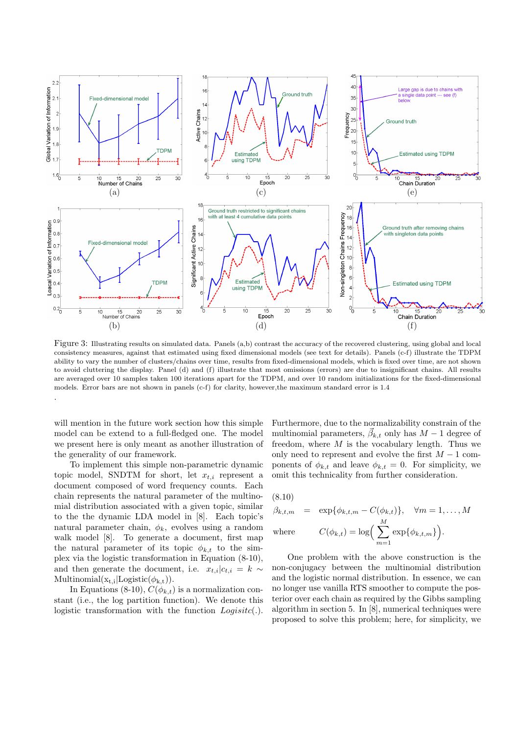

Figure 3: Illustrating results on simulated data. Panels (a,b) contrast the accuracy of the recovered clustering, using global and local consistency measures, against that estimated using fixed dimensional models (see text for details). Panels (c-f) illustrate the TDPM ability to vary the number of clusters/chains over time, results from fixed-dimensional models, which is fixed over time, are not shown to avoid cluttering the display. Panel (d) and (f) illustrate that most omissions (errors) are due to insignificant chains. All results are averaged over 10 samples taken 100 iterations apart for the TDPM, and over 10 random initializations for the fixed-dimensional models. Error bars are not shown in panels (c-f) for clarity, however,the maximum standard error is 1.4

will mention in the future work section how this simple model can be extend to a full-fledged one. The model we present here is only meant as another illustration of the generality of our framework.

.

To implement this simple non-parametric dynamic topic model, SNDTM for short, let  $x_{t,i}$  represent a document composed of word frequency counts. Each chain represents the natural parameter of the multinomial distribution associated with a given topic, similar to the the dynamic LDA model in [8]. Each topic's natural parameter chain,  $\phi_k$ , evolves using a random walk model [8]. To generate a document, first map the natural parameter of its topic  $\phi_{k,t}$  to the simplex via the logistic transformation in Equation (8-10), and then generate the document, i.e.  $x_{t,i}|c_{t,i} = k \sim$ Multinomial $(x_{t,i} | \text{Logistic}(\phi_{k,t}))$ .

In Equations (8-10),  $C(\phi_{k,t})$  is a normalization constant (i.e., the log partition function). We denote this logistic transformation with the function  $Logistic(.)$ . Furthermore, due to the normalizability constrain of the multinomial parameters,  $\vec{\beta}_{k,t}$  only has  $M-1$  degree of freedom, where  $M$  is the vocabulary length. Thus we only need to represent and evolve the first  $M-1$  components of  $\phi_{k,t}$  and leave  $\phi_{k,t} = 0$ . For simplicity, we omit this technicality from further consideration.

(8.10)  
\n
$$
\beta_{k,t,m} = \exp{\phi_{k,t,m} - C(\phi_{k,t})}, \quad \forall m = 1, ..., M
$$
\nwhere\n
$$
C(\phi_{k,t}) = \log\left(\sum_{m=1}^{M} \exp{\{\phi_{k,t,m}\}}\right).
$$

One problem with the above construction is the non-conjugacy between the multinomial distribution and the logistic normal distribution. In essence, we can no longer use vanilla RTS smoother to compute the posterior over each chain as required by the Gibbs sampling algorithm in section 5. In [8], numerical techniques were proposed to solve this problem; here, for simplicity, we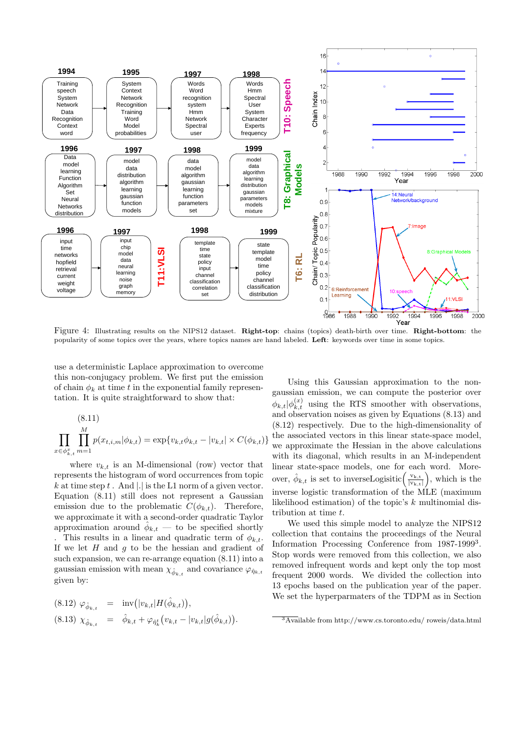

popularity of some topics over the years, where topics names are hand labeled. Left: keywords over time in some topics.

use a deterministic Laplace approximation to overcome this non-conjugacy problem. We first put the emission of chain  $\phi_k$  at time t in the exponential family representation. It is quite straightforward to show that:

(8.11)  
\n
$$
\prod_{x \in \phi_{k,t}^x} \prod_{m=1}^M p(x_{t,i,m}|\phi_{k,t}) = \exp\{v_{k,t}\phi_{k,t} - |v_{k,t}| \times C(\phi_{k,t})\}
$$

where  $v_{k,t}$  is an M-dimensional (row) vector that represents the histogram of word occurrences from topic k at time step t. And  $|.|$  is the L1 norm of a given vector. Equation (8.11) still does not represent a Gaussian emission due to the problematic  $C(\phi_{k,t})$ . Therefore, we approximate it with a second-order quadratic Taylor approximation around  $\hat{\phi}_{k,t}$  — to be specified shortly . This results in a linear and quadratic term of  $\phi_{k,t}$ . If we let  $H$  and  $g$  to be the hessian and gradient of such expansion, we can re-arrange equation (8.11) into a gaussian emission with mean  $\chi_{\hat{\phi}_{k,t}}$  and covariance  $\varphi_{\hat{\eta}_{k,t}}$ given by:

$$
(8.12) \varphi_{\hat{\phi}_{k,t}} = \text{inv}(|v_{k,t}| H(\hat{\phi}_{k,t})),
$$
  

$$
(8.13) \chi_{\hat{\phi}_{k,t}} = \hat{\phi}_{k,t} + \varphi_{\hat{\eta}_k^t} (v_{k,t} - |v_{k,t}| g(\hat{\phi}_{k,t})).
$$

Using this Gaussian approximation to the nongaussian emission, we can compute the posterior over  $\phi_{k,t}|\phi_{k,t}^{(x)}\rangle$  using the RTS smoother with observations, and observation noises as given by Equations (8.13) and (8.12) respectively. Due to the high-dimensionality of the associated vectors in this linear state-space model, we approximate the Hessian in the above calculations with its diagonal, which results in an M-independent linear state-space models, one for each word. Morelinear state-space models, one for each<br>over,  $\hat{\phi}_{k,t}$  is set to inverseLogisitic $\left(\frac{v_{k,t}}{v_{k,t}}\right)$  $\frac{v_{k,t}}{|v_{k,t}|}$ , which is the inverse logistic transformation of the MLE (maximum likelihood estimation) of the topic's  $k$  multinomial distribution at time t.

We used this simple model to analyze the NIPS12 collection that contains the proceedings of the Neural Information Processing Conference from 1987-1999<sup>3</sup>. Stop words were removed from this collection, we also removed infrequent words and kept only the top most frequent 2000 words. We divided the collection into 13 epochs based on the publication year of the paper. We set the hyperparmaters of the TDPM as in Section

 $\sqrt[3]{3}$ Available from http://www.cs.toronto.edu/ roweis/data.html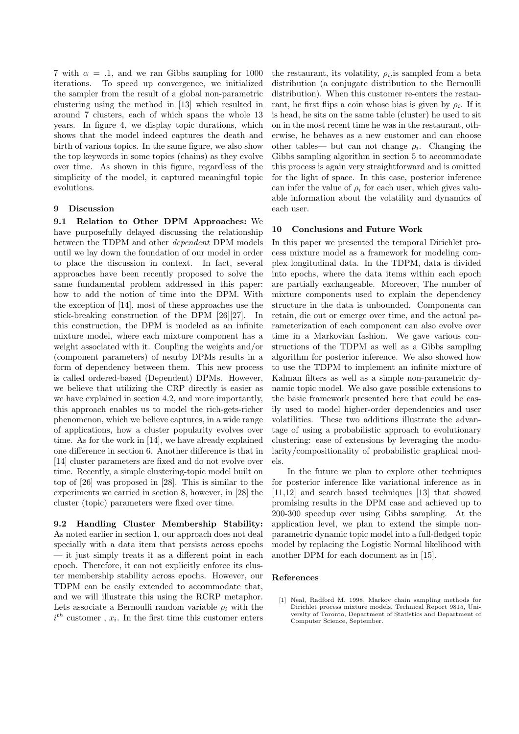7 with  $\alpha = .1$ , and we ran Gibbs sampling for 1000 iterations. To speed up convergence, we initialized the sampler from the result of a global non-parametric clustering using the method in [13] which resulted in around 7 clusters, each of which spans the whole 13 years. In figure 4, we display topic durations, which shows that the model indeed captures the death and birth of various topics. In the same figure, we also show the top keywords in some topics (chains) as they evolve over time. As shown in this figure, regardless of the simplicity of the model, it captured meaningful topic evolutions.

# 9 Discussion

9.1 Relation to Other DPM Approaches: We have purposefully delayed discussing the relationship between the TDPM and other dependent DPM models until we lay down the foundation of our model in order to place the discussion in context. In fact, several approaches have been recently proposed to solve the same fundamental problem addressed in this paper: how to add the notion of time into the DPM. With the exception of [14], most of these approaches use the stick-breaking construction of the DPM [26][27]. In this construction, the DPM is modeled as an infinite mixture model, where each mixture component has a weight associated with it. Coupling the weights and/or (component parameters) of nearby DPMs results in a form of dependency between them. This new process is called ordered-based (Dependent) DPMs. However, we believe that utilizing the CRP directly is easier as we have explained in section 4.2, and more importantly, this approach enables us to model the rich-gets-richer phenomenon, which we believe captures, in a wide range of applications, how a cluster popularity evolves over time. As for the work in [14], we have already explained one difference in section 6. Another difference is that in [14] cluster parameters are fixed and do not evolve over time. Recently, a simple clustering-topic model built on top of [26] was proposed in [28]. This is similar to the experiments we carried in section 8, however, in [28] the cluster (topic) parameters were fixed over time.

9.2 Handling Cluster Membership Stability: As noted earlier in section 1, our approach does not deal specially with a data item that persists across epochs — it just simply treats it as a different point in each epoch. Therefore, it can not explicitly enforce its cluster membership stability across epochs. However, our TDPM can be easily extended to accommodate that, and we will illustrate this using the RCRP metaphor. Lets associate a Bernoulli random variable  $\rho_i$  with the  $i^{th}$  customer,  $x_i$ . In the first time this customer enters

the restaurant, its volatility,  $\rho_i$ , is sampled from a beta distribution (a conjugate distribution to the Bernoulli distribution). When this customer re-enters the restaurant, he first flips a coin whose bias is given by  $\rho_i$ . If it is head, he sits on the same table (cluster) he used to sit on in the most recent time he was in the restaurant, otherwise, he behaves as a new customer and can choose other tables— but can not change  $\rho_i$ . Changing the Gibbs sampling algorithm in section 5 to accommodate this process is again very straightforward and is omitted for the light of space. In this case, posterior inference can infer the value of  $\rho_i$  for each user, which gives valuable information about the volatility and dynamics of each user.

## 10 Conclusions and Future Work

In this paper we presented the temporal Dirichlet process mixture model as a framework for modeling complex longitudinal data. In the TDPM, data is divided into epochs, where the data items within each epoch are partially exchangeable. Moreover, The number of mixture components used to explain the dependency structure in the data is unbounded. Components can retain, die out or emerge over time, and the actual parameterization of each component can also evolve over time in a Markovian fashion. We gave various constructions of the TDPM as well as a Gibbs sampling algorithm for posterior inference. We also showed how to use the TDPM to implement an infinite mixture of Kalman filters as well as a simple non-parametric dynamic topic model. We also gave possible extensions to the basic framework presented here that could be easily used to model higher-order dependencies and user volatilities. These two additions illustrate the advantage of using a probabilistic approach to evolutionary clustering: ease of extensions by leveraging the modularity/compositionality of probabilistic graphical models.

In the future we plan to explore other techniques for posterior inference like variational inference as in [11,12] and search based techniques [13] that showed promising results in the DPM case and achieved up to 200-300 speedup over using Gibbs sampling. At the application level, we plan to extend the simple nonparametric dynamic topic model into a full-fledged topic model by replacing the Logistic Normal likelihood with another DPM for each document as in [15].

## References

[1] Neal, Radford M. 1998. Markov chain sampling methods for Dirichlet process mixture models. Technical Report 9815, University of Toronto, Department of Statistics and Department of Computer Science, September.